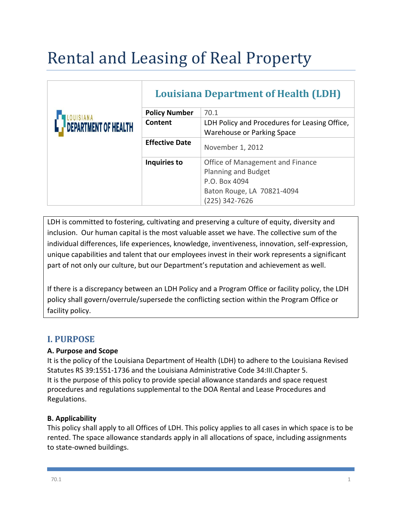# Rental and Leasing of Real Property

| DEPARTMENT OF HEALTH | <b>Louisiana Department of Health (LDH)</b> |                                                                                                                          |
|----------------------|---------------------------------------------|--------------------------------------------------------------------------------------------------------------------------|
|                      | <b>Policy Number</b>                        | 70.1                                                                                                                     |
|                      | Content                                     | LDH Policy and Procedures for Leasing Office,<br>Warehouse or Parking Space                                              |
|                      | <b>Effective Date</b>                       | November 1, 2012                                                                                                         |
|                      | Inquiries to                                | Office of Management and Finance<br>Planning and Budget<br>P.O. Box 4094<br>Baton Rouge, LA 70821-4094<br>(225) 342-7626 |

LDH is committed to fostering, cultivating and preserving a culture of equity, diversity and inclusion. Our human capital is the most valuable asset we have. The collective sum of the individual differences, life experiences, knowledge, inventiveness, innovation, self-expression, unique capabilities and talent that our employees invest in their work represents a significant part of not only our culture, but our Department's reputation and achievement as well.

If there is a discrepancy between an LDH Policy and a Program Office or facility policy, the LDH policy shall govern/overrule/supersede the conflicting section within the Program Office or facility policy.

# **I. PURPOSE**

## **A. Purpose and Scope**

It is the policy of the Louisiana Department of Health (LDH) to adhere to the Louisiana Revised Statutes RS 39:1551-1736 and the Louisiana Administrative Code 34:III.Chapter 5. It is the purpose of this policy to provide special allowance standards and space request procedures and regulations supplemental to the DOA Rental and Lease Procedures and Regulations.

## **B. Applicability**

This policy shall apply to all Offices of LDH. This policy applies to all cases in which space is to be rented. The space allowance standards apply in all allocations of space, including assignments to state-owned buildings.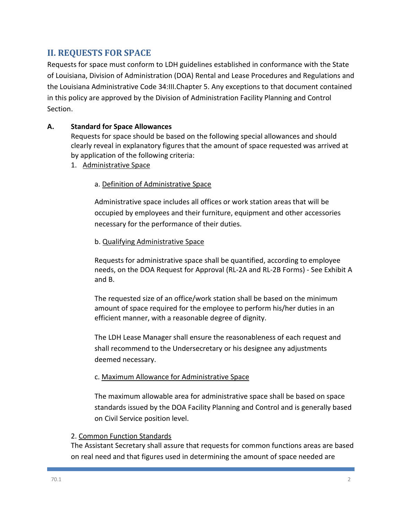# **II. REQUESTS FOR SPACE**

Requests for space must conform to LDH guidelines established in conformance with the State of Louisiana, Division of Administration (DOA) Rental and Lease Procedures and Regulations and the Louisiana Administrative Code 34:III.Chapter 5. Any exceptions to that document contained in this policy are approved by the Division of Administration Facility Planning and Control Section.

## **A. Standard for Space Allowances**

Requests for space should be based on the following special allowances and should clearly reveal in explanatory figures that the amount of space requested was arrived at by application of the following criteria:

1. Administrative Space

## a. Definition of Administrative Space

Administrative space includes all offices or work station areas that will be occupied by employees and their furniture, equipment and other accessories necessary for the performance of their duties.

#### b. Qualifying Administrative Space

Requests for administrative space shall be quantified, according to employee needs, on the DOA Request for Approval (RL-2A and RL-2B Forms) - See Exhibit A and B.

The requested size of an office/work station shall be based on the minimum amount of space required for the employee to perform his/her duties in an efficient manner, with a reasonable degree of dignity.

The LDH Lease Manager shall ensure the reasonableness of each request and shall recommend to the Undersecretary or his designee any adjustments deemed necessary.

#### c. Maximum Allowance for Administrative Space

The maximum allowable area for administrative space shall be based on space standards issued by the DOA Facility Planning and Control and is generally based on Civil Service position level.

#### 2. Common Function Standards

The Assistant Secretary shall assure that requests for common functions areas are based on real need and that figures used in determining the amount of space needed are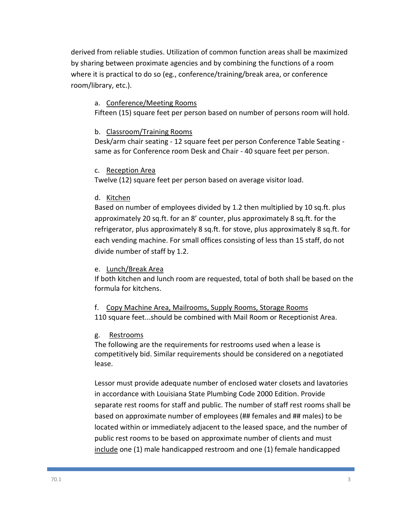derived from reliable studies. Utilization of common function areas shall be maximized by sharing between proximate agencies and by combining the functions of a room where it is practical to do so (eg., conference/training/break area, or conference room/library, etc.).

#### a. Conference/Meeting Rooms

Fifteen (15) square feet per person based on number of persons room will hold.

#### b. Classroom/Training Rooms

Desk/arm chair seating - 12 square feet per person Conference Table Seating same as for Conference room Desk and Chair - 40 square feet per person.

## c. Reception Area

Twelve (12) square feet per person based on average visitor load.

## d. Kitchen

Based on number of employees divided by 1.2 then multiplied by 10 sq.ft. plus approximately 20 sq.ft. for an 8' counter, plus approximately 8 sq.ft. for the refrigerator, plus approximately 8 sq.ft. for stove, plus approximately 8 sq.ft. for each vending machine. For small offices consisting of less than 15 staff, do not divide number of staff by 1.2.

## e. Lunch/Break Area

If both kitchen and lunch room are requested, total of both shall be based on the formula for kitchens.

f. Copy Machine Area, Mailrooms, Supply Rooms, Storage Rooms 110 square feet...should be combined with Mail Room or Receptionist Area.

## g. Restrooms

The following are the requirements for restrooms used when a lease is competitively bid. Similar requirements should be considered on a negotiated lease.

Lessor must provide adequate number of enclosed water closets and lavatories in accordance with Louisiana State Plumbing Code 2000 Edition. Provide separate rest rooms for staff and public. The number of staff rest rooms shall be based on approximate number of employees (## females and ## males) to be located within or immediately adjacent to the leased space, and the number of public rest rooms to be based on approximate number of clients and must include one (1) male handicapped restroom and one (1) female handicapped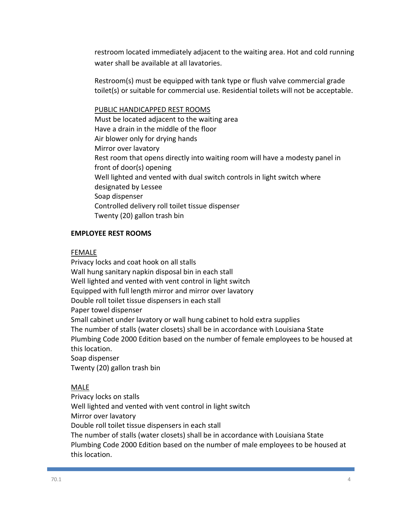restroom located immediately adjacent to the waiting area. Hot and cold running water shall be available at all lavatories.

Restroom(s) must be equipped with tank type or flush valve commercial grade toilet(s) or suitable for commercial use. Residential toilets will not be acceptable.

PUBLIC HANDICAPPED REST ROOMS Must be located adjacent to the waiting area Have a drain in the middle of the floor Air blower only for drying hands Mirror over lavatory Rest room that opens directly into waiting room will have a modesty panel in front of door(s) opening Well lighted and vented with dual switch controls in light switch where designated by Lessee Soap dispenser Controlled delivery roll toilet tissue dispenser Twenty (20) gallon trash bin

#### **EMPLOYEE REST ROOMS**

#### FEMALE

Privacy locks and coat hook on all stalls Wall hung sanitary napkin disposal bin in each stall Well lighted and vented with vent control in light switch Equipped with full length mirror and mirror over lavatory Double roll toilet tissue dispensers in each stall Paper towel dispenser Small cabinet under lavatory or wall hung cabinet to hold extra supplies The number of stalls (water closets) shall be in accordance with Louisiana State Plumbing Code 2000 Edition based on the number of female employees to be housed at this location. Soap dispenser Twenty (20) gallon trash bin

#### MALE

Privacy locks on stalls Well lighted and vented with vent control in light switch Mirror over lavatory Double roll toilet tissue dispensers in each stall The number of stalls (water closets) shall be in accordance with Louisiana State Plumbing Code 2000 Edition based on the number of male employees to be housed at this location.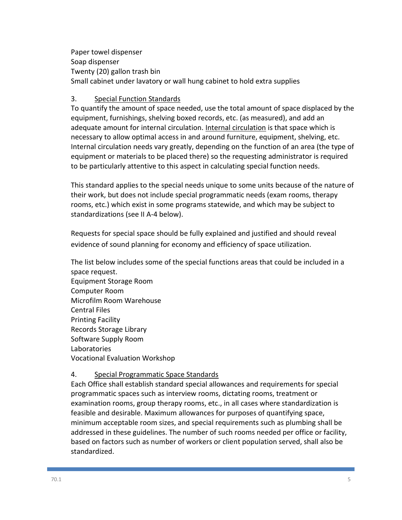Paper towel dispenser Soap dispenser Twenty (20) gallon trash bin Small cabinet under lavatory or wall hung cabinet to hold extra supplies

## 3. Special Function Standards

To quantify the amount of space needed, use the total amount of space displaced by the equipment, furnishings, shelving boxed records, etc. (as measured), and add an adequate amount for internal circulation. Internal circulation is that space which is necessary to allow optimal access in and around furniture, equipment, shelving, etc. Internal circulation needs vary greatly, depending on the function of an area (the type of equipment or materials to be placed there) so the requesting administrator is required to be particularly attentive to this aspect in calculating special function needs.

This standard applies to the special needs unique to some units because of the nature of their work, but does not include special programmatic needs (exam rooms, therapy rooms, etc.) which exist in some programs statewide, and which may be subject to standardizations (see II A-4 below).

Requests for special space should be fully explained and justified and should reveal evidence of sound planning for economy and efficiency of space utilization.

The list below includes some of the special functions areas that could be included in a space request. Equipment Storage Room Computer Room Microfilm Room Warehouse Central Files Printing Facility Records Storage Library Software Supply Room Laboratories Vocational Evaluation Workshop

#### 4. Special Programmatic Space Standards

Each Office shall establish standard special allowances and requirements for special programmatic spaces such as interview rooms, dictating rooms, treatment or examination rooms, group therapy rooms, etc., in all cases where standardization is feasible and desirable. Maximum allowances for purposes of quantifying space, minimum acceptable room sizes, and special requirements such as plumbing shall be addressed in these guidelines. The number of such rooms needed per office or facility, based on factors such as number of workers or client population served, shall also be standardized.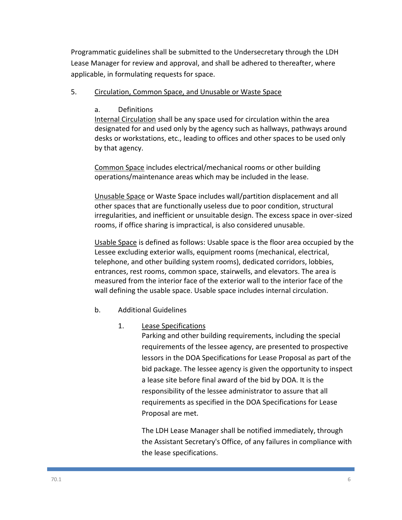Programmatic guidelines shall be submitted to the Undersecretary through the LDH Lease Manager for review and approval, and shall be adhered to thereafter, where applicable, in formulating requests for space.

## 5. Circulation, Common Space, and Unusable or Waste Space

## a. Definitions

Internal Circulation shall be any space used for circulation within the area designated for and used only by the agency such as hallways, pathways around desks or workstations, etc., leading to offices and other spaces to be used only by that agency.

Common Space includes electrical/mechanical rooms or other building operations/maintenance areas which may be included in the lease.

Unusable Space or Waste Space includes wall/partition displacement and all other spaces that are functionally useless due to poor condition, structural irregularities, and inefficient or unsuitable design. The excess space in over-sized rooms, if office sharing is impractical, is also considered unusable.

Usable Space is defined as follows: Usable space is the floor area occupied by the Lessee excluding exterior walls, equipment rooms (mechanical, electrical, telephone, and other building system rooms), dedicated corridors, lobbies, entrances, rest rooms, common space, stairwells, and elevators. The area is measured from the interior face of the exterior wall to the interior face of the wall defining the usable space. Usable space includes internal circulation.

b. Additional Guidelines

## 1. Lease Specifications

Parking and other building requirements, including the special requirements of the lessee agency, are presented to prospective lessors in the DOA Specifications for Lease Proposal as part of the bid package. The lessee agency is given the opportunity to inspect a lease site before final award of the bid by DOA. It is the responsibility of the lessee administrator to assure that all requirements as specified in the DOA Specifications for Lease Proposal are met.

The LDH Lease Manager shall be notified immediately, through the Assistant Secretary's Office, of any failures in compliance with the lease specifications.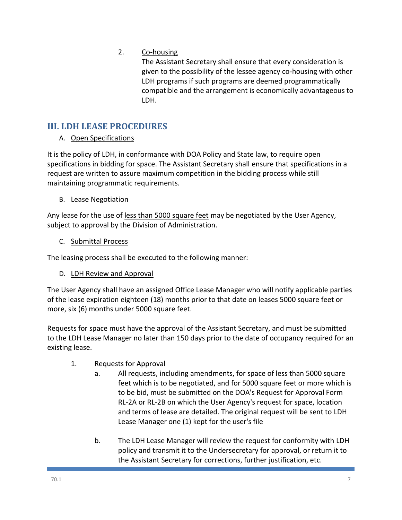# 2. Co-housing

The Assistant Secretary shall ensure that every consideration is given to the possibility of the lessee agency co-housing with other LDH programs if such programs are deemed programmatically compatible and the arrangement is economically advantageous to LDH.

# **III. LDH LEASE PROCEDURES**

# A. Open Specifications

It is the policy of LDH, in conformance with DOA Policy and State law, to require open specifications in bidding for space. The Assistant Secretary shall ensure that specifications in a request are written to assure maximum competition in the bidding process while still maintaining programmatic requirements.

# B. Lease Negotiation

Any lease for the use of less than 5000 square feet may be negotiated by the User Agency, subject to approval by the Division of Administration.

C. Submittal Process

The leasing process shall be executed to the following manner:

D. LDH Review and Approval

The User Agency shall have an assigned Office Lease Manager who will notify applicable parties of the lease expiration eighteen (18) months prior to that date on leases 5000 square feet or more, six (6) months under 5000 square feet.

Requests for space must have the approval of the Assistant Secretary, and must be submitted to the LDH Lease Manager no later than 150 days prior to the date of occupancy required for an existing lease.

- 1. Requests for Approval
	- a. All requests, including amendments, for space of less than 5000 square feet which is to be negotiated, and for 5000 square feet or more which is to be bid, must be submitted on the DOA's Request for Approval Form RL-2A or RL-2B on which the User Agency's request for space, location and terms of lease are detailed. The original request will be sent to LDH Lease Manager one (1) kept for the user's file
	- b. The LDH Lease Manager will review the request for conformity with LDH policy and transmit it to the Undersecretary for approval, or return it to the Assistant Secretary for corrections, further justification, etc.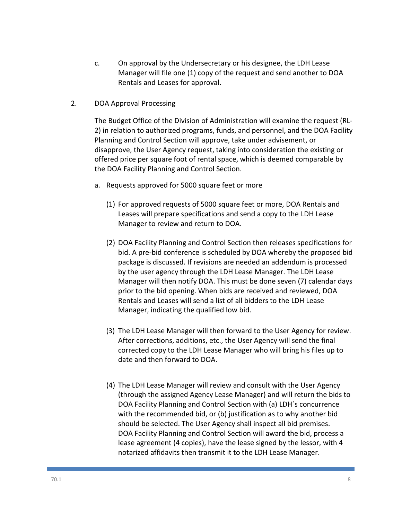- c. On approval by the Undersecretary or his designee, the LDH Lease Manager will file one (1) copy of the request and send another to DOA Rentals and Leases for approval.
- 2. DOA Approval Processing

The Budget Office of the Division of Administration will examine the request (RL-2) in relation to authorized programs, funds, and personnel, and the DOA Facility Planning and Control Section will approve, take under advisement, or disapprove, the User Agency request, taking into consideration the existing or offered price per square foot of rental space, which is deemed comparable by the DOA Facility Planning and Control Section.

- a. Requests approved for 5000 square feet or more
	- (1) For approved requests of 5000 square feet or more, DOA Rentals and Leases will prepare specifications and send a copy to the LDH Lease Manager to review and return to DOA.
	- (2) DOA Facility Planning and Control Section then releases specifications for bid. A pre-bid conference is scheduled by DOA whereby the proposed bid package is discussed. If revisions are needed an addendum is processed by the user agency through the LDH Lease Manager. The LDH Lease Manager will then notify DOA. This must be done seven (7) calendar days prior to the bid opening. When bids are received and reviewed, DOA Rentals and Leases will send a list of all bidders to the LDH Lease Manager, indicating the qualified low bid.
	- (3) The LDH Lease Manager will then forward to the User Agency for review. After corrections, additions, etc., the User Agency will send the final corrected copy to the LDH Lease Manager who will bring his files up to date and then forward to DOA.
	- (4) The LDH Lease Manager will review and consult with the User Agency (through the assigned Agency Lease Manager) and will return the bids to DOA Facility Planning and Control Section with (a) LDH`s concurrence with the recommended bid, or (b) justification as to why another bid should be selected. The User Agency shall inspect all bid premises. DOA Facility Planning and Control Section will award the bid, process a lease agreement (4 copies), have the lease signed by the lessor, with 4 notarized affidavits then transmit it to the LDH Lease Manager.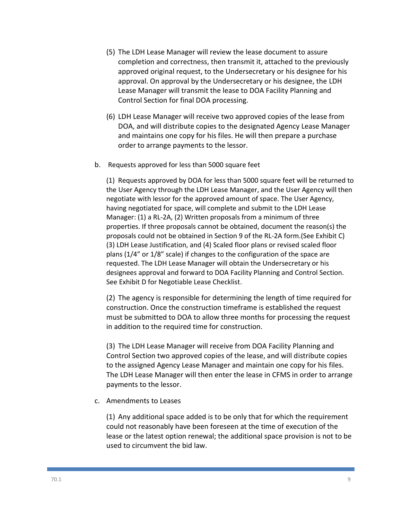- (5) The LDH Lease Manager will review the lease document to assure completion and correctness, then transmit it, attached to the previously approved original request, to the Undersecretary or his designee for his approval. On approval by the Undersecretary or his designee, the LDH Lease Manager will transmit the lease to DOA Facility Planning and Control Section for final DOA processing.
- (6) LDH Lease Manager will receive two approved copies of the lease from DOA, and will distribute copies to the designated Agency Lease Manager and maintains one copy for his files. He will then prepare a purchase order to arrange payments to the lessor.
- b. Requests approved for less than 5000 square feet

(1) Requests approved by DOA for less than 5000 square feet will be returned to the User Agency through the LDH Lease Manager, and the User Agency will then negotiate with lessor for the approved amount of space. The User Agency, having negotiated for space, will complete and submit to the LDH Lease Manager: (1) a RL-2A, (2) Written proposals from a minimum of three properties. If three proposals cannot be obtained, document the reason(s) the proposals could not be obtained in Section 9 of the RL-2A form.(See Exhibit C) (3) LDH Lease Justification, and (4) Scaled floor plans or revised scaled floor plans (1/4" or 1/8" scale) if changes to the configuration of the space are requested. The LDH Lease Manager will obtain the Undersecretary or his designees approval and forward to DOA Facility Planning and Control Section. See Exhibit D for Negotiable Lease Checklist.

(2) The agency is responsible for determining the length of time required for construction. Once the construction timeframe is established the request must be submitted to DOA to allow three months for processing the request in addition to the required time for construction.

(3) The LDH Lease Manager will receive from DOA Facility Planning and Control Section two approved copies of the lease, and will distribute copies to the assigned Agency Lease Manager and maintain one copy for his files. The LDH Lease Manager will then enter the lease in CFMS in order to arrange payments to the lessor.

c. Amendments to Leases

(1) Any additional space added is to be only that for which the requirement could not reasonably have been foreseen at the time of execution of the lease or the latest option renewal; the additional space provision is not to be used to circumvent the bid law.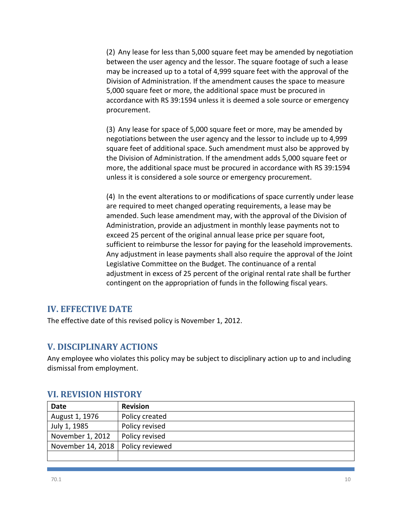(2) Any lease for less than 5,000 square feet may be amended by negotiation between the user agency and the lessor. The square footage of such a lease may be increased up to a total of 4,999 square feet with the approval of the Division of Administration. If the amendment causes the space to measure 5,000 square feet or more, the additional space must be procured in accordance with RS 39:1594 unless it is deemed a sole source or emergency procurement.

(3) Any lease for space of 5,000 square feet or more, may be amended by negotiations between the user agency and the lessor to include up to 4,999 square feet of additional space. Such amendment must also be approved by the Division of Administration. If the amendment adds 5,000 square feet or more, the additional space must be procured in accordance with RS 39:1594 unless it is considered a sole source or emergency procurement.

(4) In the event alterations to or modifications of space currently under lease are required to meet changed operating requirements, a lease may be amended. Such lease amendment may, with the approval of the Division of Administration, provide an adjustment in monthly lease payments not to exceed 25 percent of the original annual lease price per square foot, sufficient to reimburse the lessor for paying for the leasehold improvements. Any adjustment in lease payments shall also require the approval of the Joint Legislative Committee on the Budget. The continuance of a rental adjustment in excess of 25 percent of the original rental rate shall be further contingent on the appropriation of funds in the following fiscal years.

# **IV. EFFECTIVE DATE**

The effective date of this revised policy is November 1, 2012.

# **V. DISCIPLINARY ACTIONS**

Any employee who violates this policy may be subject to disciplinary action up to and including dismissal from employment.

| Date              | <b>Revision</b> |
|-------------------|-----------------|
| August 1, 1976    | Policy created  |
| July 1, 1985      | Policy revised  |
| November 1, 2012  | Policy revised  |
| November 14, 2018 | Policy reviewed |
|                   |                 |

# **VI. REVISION HISTORY**